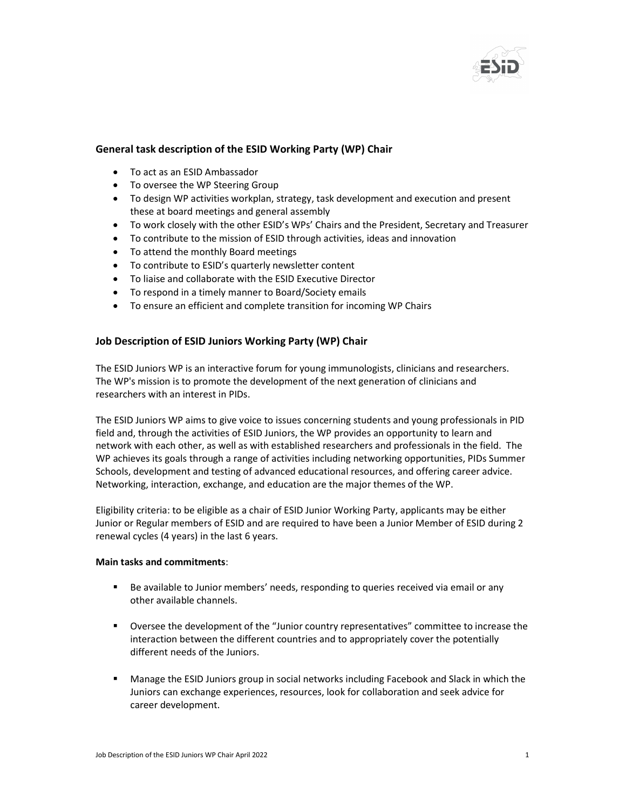

## General task description of the ESID Working Party (WP) Chair

- To act as an ESID Ambassador
- To oversee the WP Steering Group
- To design WP activities workplan, strategy, task development and execution and present these at board meetings and general assembly
- To work closely with the other ESID's WPs' Chairs and the President, Secretary and Treasurer
- To contribute to the mission of ESID through activities, ideas and innovation
- To attend the monthly Board meetings
- To contribute to ESID's quarterly newsletter content
- To liaise and collaborate with the ESID Executive Director
- To respond in a timely manner to Board/Society emails
- To ensure an efficient and complete transition for incoming WP Chairs

## Job Description of ESID Juniors Working Party (WP) Chair

The ESID Juniors WP is an interactive forum for young immunologists, clinicians and researchers. The WP's mission is to promote the development of the next generation of clinicians and researchers with an interest in PIDs.

The ESID Juniors WP aims to give voice to issues concerning students and young professionals in PID field and, through the activities of ESID Juniors, the WP provides an opportunity to learn and network with each other, as well as with established researchers and professionals in the field. The WP achieves its goals through a range of activities including networking opportunities, PIDs Summer Schools, development and testing of advanced educational resources, and offering career advice. Networking, interaction, exchange, and education are the major themes of the WP.

Eligibility criteria: to be eligible as a chair of ESID Junior Working Party, applicants may be either Junior or Regular members of ESID and are required to have been a Junior Member of ESID during 2 renewal cycles (4 years) in the last 6 years.

## Main tasks and commitments:

- Be available to Junior members' needs, responding to queries received via email or any other available channels.
- Oversee the development of the "Junior country representatives" committee to increase the interaction between the different countries and to appropriately cover the potentially different needs of the Juniors.
- Manage the ESID Juniors group in social networks including Facebook and Slack in which the Juniors can exchange experiences, resources, look for collaboration and seek advice for career development.